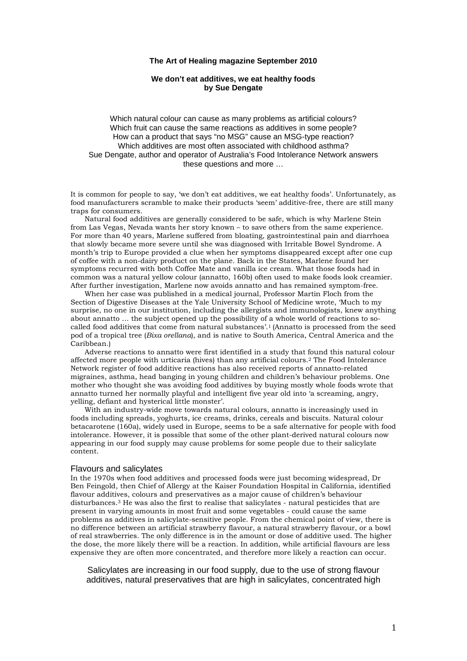#### **The Art of Healing magazine September 2010**

### **We don't eat additives, we eat healthy foods by Sue Dengate**

Which natural colour can cause as many problems as artificial colours? Which fruit can cause the same reactions as additives in some people? How can a product that says "no MSG" cause an MSG-type reaction? Which additives are most often associated with childhood asthma? Sue Dengate, author and operator of Australia's Food Intolerance Network answers these questions and more …

It is common for people to say, 'we don't eat additives, we eat healthy foods'. Unfortunately, as food manufacturers scramble to make their products 'seem' additive-free, there are still many traps for consumers.

Natural food additives are generally considered to be safe, which is why Marlene Stein from Las Vegas, Nevada wants her story known – to save others from the same experience. For more than 40 years, Marlene suffered from bloating, gastrointestinal pain and diarrhoea that slowly became more severe until she was diagnosed with Irritable Bowel Syndrome. A month's trip to Europe provided a clue when her symptoms disappeared except after one cup of coffee with a non-dairy product on the plane. Back in the States, Marlene found her symptoms recurred with both Coffee Mate and vanilla ice cream. What those foods had in common was a natural yellow colour (annatto, 160b) often used to make foods look creamier. After further investigation, Marlene now avoids annatto and has remained symptom-free.

When her case was published in a medical journal, Professor Martin Floch from the Section of Digestive Diseases at the Yale University School of Medicine wrote, 'Much to my surprise, no one in our institution, including the allergists and immunologists, knew anything about annatto … the subject opened up the possibility of a whole world of reactions to socalled food additives that come from natural substances'.1 (Annatto is processed from the seed pod of a tropical tree (*Bixa orellana*), and is native to South America, Central America and the Caribbean.)

Adverse reactions to annatto were first identified in a study that found this natural colour affected more people with urticaria (hives) than any artificial colours.2 The Food Intolerance Network register of food additive reactions has also received reports of annatto-related migraines, asthma, head banging in young children and children's behaviour problems. One mother who thought she was avoiding food additives by buying mostly whole foods wrote that annatto turned her normally playful and intelligent five year old into 'a screaming, angry, yelling, defiant and hysterical little monster'.

With an industry-wide move towards natural colours, annatto is increasingly used in foods including spreads, yoghurts, ice creams, drinks, cereals and biscuits. Natural colour betacarotene (160a), widely used in Europe, seems to be a safe alternative for people with food intolerance. However, it is possible that some of the other plant-derived natural colours now appearing in our food supply may cause problems for some people due to their salicylate content.

#### Flavours and salicylates

In the 1970s when food additives and processed foods were just becoming widespread, Dr Ben Feingold, then Chief of Allergy at the Kaiser Foundation Hospital in California, identified flavour additives, colours and preservatives as a major cause of children's behaviour disturbances.3 He was also the first to realise that salicylates - natural pesticides that are present in varying amounts in most fruit and some vegetables - could cause the same problems as additives in salicylate-sensitive people. From the chemical point of view, there is no difference between an artificial strawberry flavour, a natural strawberry flavour, or a bowl of real strawberries. The only difference is in the amount or dose of additive used. The higher the dose, the more likely there will be a reaction. In addition, while artificial flavours are less expensive they are often more concentrated, and therefore more likely a reaction can occur.

Salicylates are increasing in our food supply, due to the use of strong flavour additives, natural preservatives that are high in salicylates, concentrated high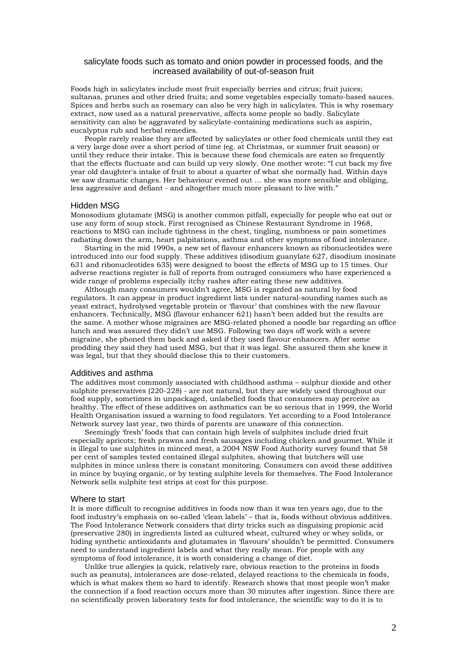### salicylate foods such as tomato and onion powder in processed foods, and the increased availability of out-of-season fruit

Foods high in salicylates include most fruit especially berries and citrus; fruit juices; sultanas, prunes and other dried fruits; and some vegetables especially tomato-based sauces. Spices and herbs such as rosemary can also be very high in salicylates. This is why rosemary extract, now used as a natural preservative, affects some people so badly. Salicylate sensitivity can also be aggravated by salicylate-containing medications such as aspirin, eucalyptus rub and herbal remedies.

People rarely realise they are affected by salicylates or other food chemicals until they eat a very large dose over a short period of time (eg. at Christmas, or summer fruit season) or until they reduce their intake. This is because these food chemicals are eaten so frequently that the effects fluctuate and can build up very slowly. One mother wrote: "I cut back my five year old daughter's intake of fruit to about a quarter of what she normally had. Within days we saw dramatic changes. Her behaviour evened out … she was more sensible and obliging, less aggressive and defiant - and altogether much more pleasant to live with."

#### Hidden MSG

Monosodium glutamate (MSG) is another common pitfall, especially for people who eat out or use any form of soup stock. First recognised as Chinese Restaurant Syndrome in 1968, reactions to MSG can include tightness in the chest, tingling, numbness or pain sometimes radiating down the arm, heart palpitations, asthma and other symptoms of food intolerance.

Starting in the mid 1990s, a new set of flavour enhancers known as ribonucleotides were introduced into our food supply. These additives (disodium guanylate 627, disodium inosinate 631 and ribonucleotides 635) were designed to boost the effects of MSG up to 15 times. Our adverse reactions register is full of reports from outraged consumers who have experienced a wide range of problems especially itchy rashes after eating these new additives.

Although many consumers wouldn't agree, MSG is regarded as natural by food regulators. It can appear in product ingredient lists under natural-sounding names such as yeast extract, hydrolysed vegetable protein or 'flavour' that combines with the new flavour enhancers. Technically, MSG (flavour enhancer 621) hasn't been added but the results are the same. A mother whose migraines are MSG-related phoned a noodle bar regarding an office lunch and was assured they didn't use MSG. Following two days off work with a severe migraine, she phoned them back and asked if they used flavour enhancers. After some prodding they said they had used MSG, but that it was legal. She assured them she knew it was legal, but that they should disclose this to their customers.

## Additives and asthma

The additives most commonly associated with childhood asthma – sulphur dioxide and other sulphite preservatives  $(220-228)$  - are not natural, but they are widely used throughout our food supply, sometimes in unpackaged, unlabelled foods that consumers may perceive as healthy. The effect of these additives on asthmatics can be so serious that in 1999, the World Health Organisation issued a warning to food regulators. Yet according to a Food Intolerance Network survey last year, two thirds of parents are unaware of this connection.

Seemingly 'fresh' foods that can contain high levels of sulphites include dried fruit especially apricots; fresh prawns and fresh sausages including chicken and gourmet. While it is illegal to use sulphites in minced meat, a 2004 NSW Food Authority survey found that 58 per cent of samples tested contained illegal sulphites, showing that butchers will use sulphites in mince unless there is constant monitoring. Consumers can avoid these additives in mince by buying organic, or by testing sulphite levels for themselves. The Food Intolerance Network sells sulphite test strips at cost for this purpose.

#### Where to start

It is more difficult to recognise additives in foods now than it was ten years ago, due to the food industry's emphasis on so-called 'clean labels' – that is, foods without obvious additives. The Food Intolerance Network considers that dirty tricks such as disguising propionic acid (preservative 280) in ingredients listed as cultured wheat, cultured whey or whey solids, or hiding synthetic antioxidants and glutamates in 'flavours' shouldn't be permitted. Consumers need to understand ingredient labels and what they really mean. For people with any symptoms of food intolerance, it is worth considering a change of diet.

Unlike true allergies (a quick, relatively rare, obvious reaction to the proteins in foods such as peanuts), intolerances are dose-related, delayed reactions to the chemicals in foods, which is what makes them so hard to identify. Research shows that most people won't make the connection if a food reaction occurs more than 30 minutes after ingestion. Since there are no scientifically proven laboratory tests for food intolerance, the scientific way to do it is to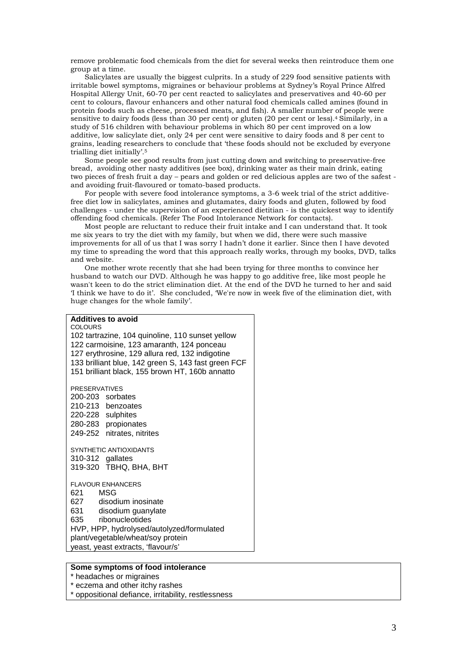remove problematic food chemicals from the diet for several weeks then reintroduce them one group at a time.

Salicylates are usually the biggest culprits. In a study of 229 food sensitive patients with irritable bowel symptoms, migraines or behaviour problems at Sydney's Royal Prince Alfred Hospital Allergy Unit, 60-70 per cent reacted to salicylates and preservatives and 40-60 per cent to colours, flavour enhancers and other natural food chemicals called amines (found in protein foods such as cheese, processed meats, and fish). A smaller number of people were sensitive to dairy foods (less than 30 per cent) or gluten (20 per cent or less).4 Similarly, in a study of 516 children with behaviour problems in which 80 per cent improved on a low additive, low salicylate diet, only 24 per cent were sensitive to dairy foods and 8 per cent to grains, leading researchers to conclude that 'these foods should not be excluded by everyone trialling diet initially'.5

Some people see good results from just cutting down and switching to preservative-free bread, avoiding other nasty additives (see box), drinking water as their main drink, eating two pieces of fresh fruit a day – pears and golden or red delicious apples are two of the safest and avoiding fruit-flavoured or tomato-based products.

For people with severe food intolerance symptoms, a 3-6 week trial of the strict additivefree diet low in salicylates, amines and glutamates, dairy foods and gluten, followed by food challenges - under the supervision of an experienced dietitian - is the quickest way to identify offending food chemicals. (Refer The Food Intolerance Network for contacts).

Most people are reluctant to reduce their fruit intake and I can understand that. It took me six years to try the diet with my family, but when we did, there were such massive improvements for all of us that I was sorry I hadn't done it earlier. Since then I have devoted my time to spreading the word that this approach really works, through my books, DVD, talks and website.

One mother wrote recently that she had been trying for three months to convince her husband to watch our DVD. Although he was happy to go additive free, like most people he wasn't keen to do the strict elimination diet. At the end of the DVD he turned to her and said 'I think we have to do it'. She concluded, 'We're now in week five of the elimination diet, with huge changes for the whole family'.

# **Additives to avoid COLOURS** 102 tartrazine, 104 quinoline, 110 sunset yellow 122 carmoisine, 123 amaranth, 124 ponceau 127 erythrosine, 129 allura red, 132 indigotine 133 brilliant blue, 142 green S, 143 fast green FCF 151 brilliant black, 155 brown HT, 160b annatto PRESERVATIVES 200-203 sorbates 210-213 benzoates 220-228 sulphites 280-283 propionates 249-252 nitrates, nitrites SYNTHETIC ANTIOXIDANTS 310-312 gallates 319-320 TBHQ, BHA, BHT FLAVOUR ENHANCERS 621 MSG<br>627 disod 627 disodium inosinate<br>631 disodium quanvlate disodium guanylate 635 ribonucleotides HVP, HPP, hydrolysed/autolyzed/formulated plant/vegetable/wheat/soy protein yeast, yeast extracts, 'flavour/s'

## **Some symptoms of food intolerance**

\* headaches or migraines

\* eczema and other itchy rashes

\* oppositional defiance, irritability, restlessness